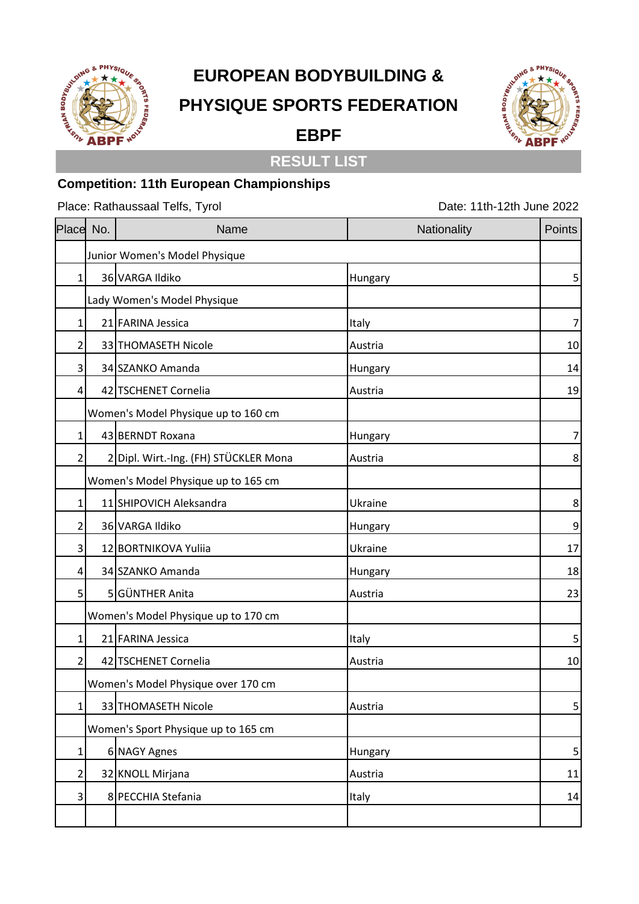

## **EUROPEAN BODYBUILDING & PHYSIQUE SPORTS FEDERATION**



## **RESULT LIST**

**EBPF**

## **Competition: 11th European Championships**

Place: Rathaussaal Telfs, Tyrol Date: 11th-12th June 2022

| Place        | No.                                 | Name                                  | Nationality | Points           |
|--------------|-------------------------------------|---------------------------------------|-------------|------------------|
|              | Junior Women's Model Physique       |                                       |             |                  |
| $\mathbf{1}$ |                                     | 36 VARGA Ildiko                       | Hungary     | 5                |
|              | Lady Women's Model Physique         |                                       |             |                  |
| 1            |                                     | 21 FARINA Jessica                     | Italy       | $\boldsymbol{7}$ |
| 2            |                                     | 33 THOMASETH Nicole                   | Austria     | 10               |
| 3            |                                     | 34 SZANKO Amanda                      | Hungary     | 14               |
| 4            |                                     | 42 TSCHENET Cornelia                  | Austria     | 19               |
|              | Women's Model Physique up to 160 cm |                                       |             |                  |
| 1            |                                     | 43 BERNDT Roxana                      | Hungary     | $\boldsymbol{7}$ |
| 2            |                                     | 2 Dipl. Wirt.-Ing. (FH) STÜCKLER Mona | Austria     | 8                |
|              | Women's Model Physique up to 165 cm |                                       |             |                  |
| 1            |                                     | 11 SHIPOVICH Aleksandra               | Ukraine     | 8                |
| 2            |                                     | 36 VARGA Ildiko                       | Hungary     | $\mathsf 9$      |
| 3            |                                     | 12 BORTNIKOVA Yuliia                  | Ukraine     | 17               |
| 4            |                                     | 34 SZANKO Amanda                      | Hungary     | 18               |
| 5            |                                     | 5 GÜNTHER Anita                       | Austria     | 23               |
|              | Women's Model Physique up to 170 cm |                                       |             |                  |
| 1            |                                     | 21 FARINA Jessica                     | Italy       | 5                |
| 2            |                                     | 42 TSCHENET Cornelia                  | Austria     | 10               |
|              | Women's Model Physique over 170 cm  |                                       |             |                  |
| $\mathbf{1}$ |                                     | 33 THOMASETH Nicole                   | Austria     | $\mathsf S$      |
|              | Women's Sport Physique up to 165 cm |                                       |             |                  |
| $\mathbf 1$  |                                     | 6 NAGY Agnes                          | Hungary     | $\mathsf S$      |
| 2            |                                     | 32 KNOLL Mirjana                      | Austria     | 11               |
| 3            |                                     | 8 PECCHIA Stefania                    | Italy       | 14               |
|              |                                     |                                       |             |                  |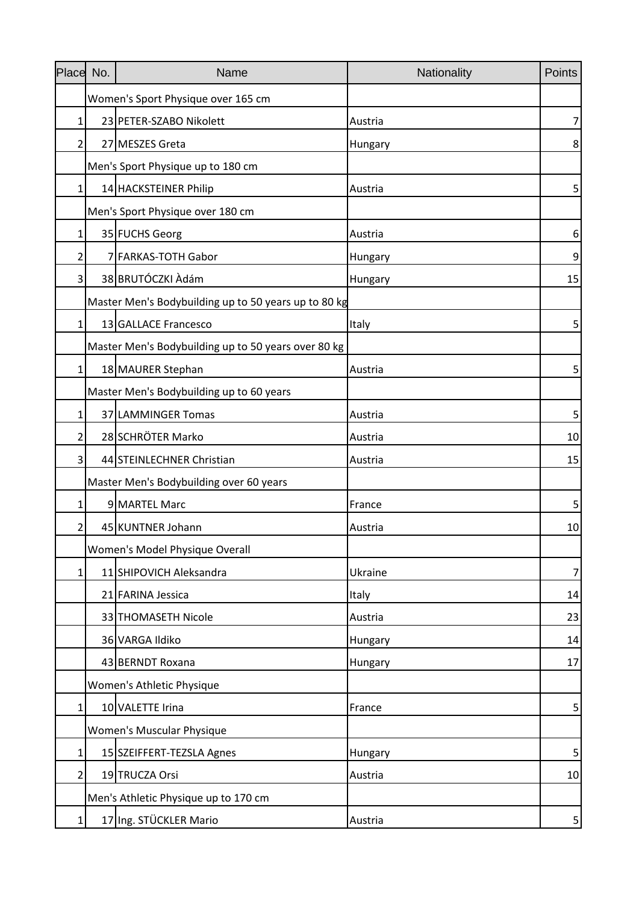| Place No.      | Name                                                 | Nationality | Points |
|----------------|------------------------------------------------------|-------------|--------|
|                | Women's Sport Physique over 165 cm                   |             |        |
| 1              | 23 PETER-SZABO Nikolett                              | Austria     | 7      |
| $\overline{2}$ | 27 MESZES Greta                                      | Hungary     | 8      |
|                | Men's Sport Physique up to 180 cm                    |             |        |
| 1              | 14 HACKSTEINER Philip                                | Austria     | 5      |
|                | Men's Sport Physique over 180 cm                     |             |        |
| 1              | 35 FUCHS Georg                                       | Austria     | 6      |
| 2              | 7 FARKAS-TOTH Gabor                                  | Hungary     | 9      |
| 3              | 38 BRUTÓCZKI Adám                                    | Hungary     | 15     |
|                | Master Men's Bodybuilding up to 50 years up to 80 kg |             |        |
| $\mathbf{1}$   | 13 GALLACE Francesco                                 | Italy       | 5      |
|                | Master Men's Bodybuilding up to 50 years over 80 kg  |             |        |
| $\mathbf{1}$   | 18 MAURER Stephan                                    | Austria     | 5      |
|                | Master Men's Bodybuilding up to 60 years             |             |        |
| 1              | 37 LAMMINGER Tomas                                   | Austria     | 5      |
| 2              | 28 SCHRÖTER Marko                                    | Austria     | 10     |
| 3              | 44 STEINLECHNER Christian                            | Austria     | 15     |
|                | Master Men's Bodybuilding over 60 years              |             |        |
| 1              | 9 MARTEL Marc                                        | France      | 5      |
| 2              | 45 KUNTNER Johann                                    | Austria     | 10     |
|                | Women's Model Physique Overall                       |             |        |
| 1              | 11 SHIPOVICH Aleksandra                              | Ukraine     | 7      |
|                | 21 FARINA Jessica                                    | Italy       | 14     |
|                | 33 THOMASETH Nicole                                  | Austria     | 23     |
|                | 36 VARGA Ildiko                                      | Hungary     | 14     |
|                | 43 BERNDT Roxana                                     | Hungary     | 17     |
|                | Women's Athletic Physique                            |             |        |
| $\mathbf{1}$   | 10 VALETTE Irina                                     | France      | 5      |
|                | <b>Women's Muscular Physique</b>                     |             |        |
| $\mathbf{1}$   | 15 SZEIFFERT-TEZSLA Agnes                            | Hungary     | 5      |
| $\overline{2}$ | 19 TRUCZA Orsi                                       | Austria     | 10     |
|                | Men's Athletic Physique up to 170 cm                 |             |        |
| $\mathbf{1}$   | 17 Ing. STÜCKLER Mario                               | Austria     | 5      |